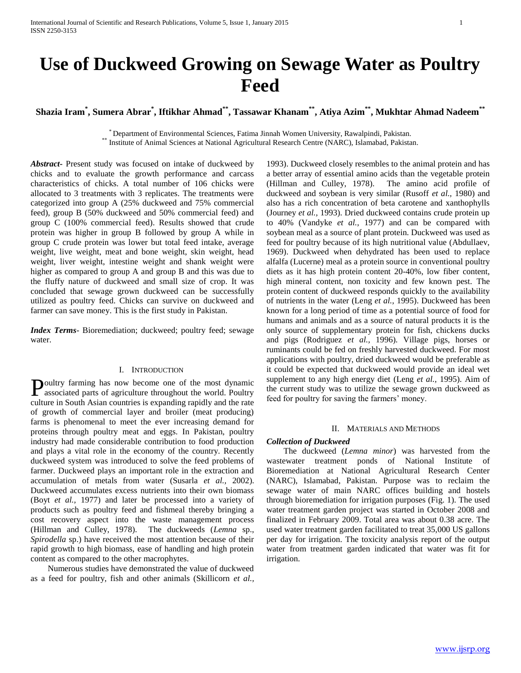**Shazia Iram\* , Sumera Abrar\* , Iftikhar Ahmad\*\*, Tassawar Khanam\*\*, Atiya Azim\*\*, Mukhtar Ahmad Nadeem\*\***

\* Department of Environmental Sciences, Fatima Jinnah Women University, Rawalpindi, Pakistan. \*\* Institute of Animal Sciences at National Agricultural Research Centre (NARC), Islamabad, Pakistan.

*Abstract***-** Present study was focused on intake of duckweed by chicks and to evaluate the growth performance and carcass characteristics of chicks. A total number of 106 chicks were allocated to 3 treatments with 3 replicates. The treatments were categorized into group A (25% duckweed and 75% commercial feed), group B (50% duckweed and 50% commercial feed) and group C (100% commercial feed). Results showed that crude protein was higher in group B followed by group A while in group C crude protein was lower but total feed intake, average weight, live weight, meat and bone weight, skin weight, head weight, liver weight, intestine weight and shank weight were higher as compared to group A and group B and this was due to the fluffy nature of duckweed and small size of crop. It was concluded that sewage grown duckweed can be successfully utilized as poultry feed. Chicks can survive on duckweed and farmer can save money. This is the first study in Pakistan.

*Index Terms*- Bioremediation; duckweed; poultry feed; sewage water.

## I. INTRODUCTION

oultry farming has now become one of the most dynamic Poultry farming has now become one of the most dynamic associated parts of agriculture throughout the world. Poultry culture in South Asian countries is expanding rapidly and the rate of growth of commercial layer and broiler (meat producing) farms is phenomenal to meet the ever increasing demand for proteins through poultry meat and eggs. In Pakistan, poultry industry had made considerable contribution to food production and plays a vital role in the economy of the country. Recently duckweed system was introduced to solve the feed problems of farmer. Duckweed plays an important role in the extraction and accumulation of metals from water (Susarla *et al.,* 2002). Duckweed accumulates excess nutrients into their own biomass (Boyt *et al.,* 1977) and later be processed into a variety of products such as poultry feed and fishmeal thereby bringing a cost recovery aspect into the waste management process (Hillman and Culley, 1978). The duckweeds (*Lemna* sp., *Spirodella* sp.) have received the most attention because of their rapid growth to high biomass, ease of handling and high protein content as compared to the other macrophytes.

 Numerous studies have demonstrated the value of duckweed as a feed for poultry, fish and other animals (Skillicorn *et al.,*

1993). Duckweed closely resembles to the animal protein and has a better array of essential amino acids than the vegetable protein (Hillman and Culley, 1978). The amino acid profile of duckweed and soybean is very similar (Rusoff *et al.,* 1980) and also has a rich concentration of beta carotene and xanthophylls (Journey *et al.,* 1993). Dried duckweed contains crude protein up to 40% (Vandyke *et al.,* 1977) and can be compared with soybean meal as a source of plant protein. Duckweed was used as feed for poultry because of its high nutritional value (Abdullaev, 1969). Duckweed when dehydrated has been used to replace alfalfa (Lucerne) meal as a protein source in conventional poultry diets as it has high protein content 20-40%, low fiber content, high mineral content, non toxicity and few known pest. The protein content of duckweed responds quickly to the availability of nutrients in the water (Leng *et al.,* 1995). Duckweed has been known for a long period of time as a potential source of food for humans and animals and as a source of natural products it is the only source of supplementary protein for fish, chickens ducks and pigs (Rodriguez *et al.,* 1996). Village pigs, horses or ruminants could be fed on freshly harvested duckweed. For most applications with poultry, dried duckweed would be preferable as it could be expected that duckweed would provide an ideal wet supplement to any high energy diet (Leng *et al.,* 1995). Aim of the current study was to utilize the sewage grown duckweed as feed for poultry for saving the farmers' money.

## II. MATERIALS AND METHODS

### *Collection of Duckweed*

 The duckweed (*Lemna minor*) was harvested from the wastewater treatment ponds of National Institute of Bioremediation at National Agricultural Research Center (NARC), Islamabad, Pakistan. Purpose was to reclaim the sewage water of main NARC offices building and hostels through bioremediation for irrigation purposes (Fig. 1). The used water treatment garden project was started in October 2008 and finalized in February 2009. Total area was about 0.38 acre. The used water treatment garden facilitated to treat 35,000 US gallons per day for irrigation. The toxicity analysis report of the output water from treatment garden indicated that water was fit for irrigation.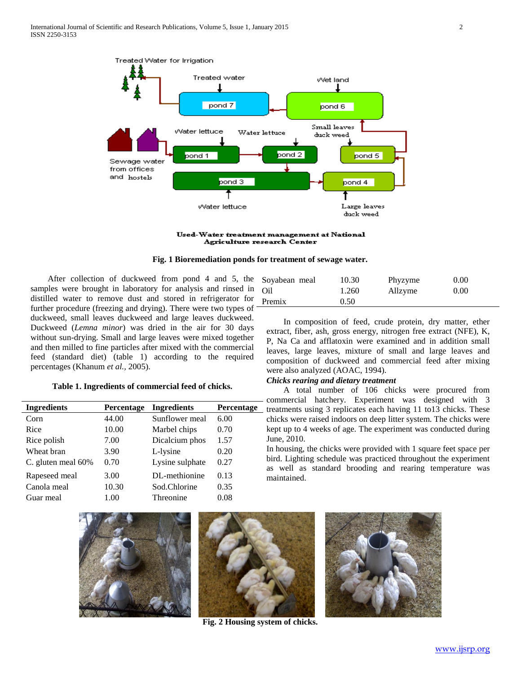

Used-Water treatment management at National Agriculture research Center

**Fig. 1 Bioremediation ponds for treatment of sewage water.**

 After collection of duckweed from pond 4 and 5, the samples were brought in laboratory for analysis and rinsed in distilled water to remove dust and stored in refrigerator for further procedure (freezing and drying). There were two types of duckweed, small leaves duckweed and large leaves duckweed. Duckweed (*Lemna minor*) was dried in the air for 30 days without sun-drying. Small and large leaves were mixed together and then milled to fine particles after mixed with the commercial feed (standard diet) (table 1) according to the required percentages (Khanum *et al.,* 2005).

## **Table 1. Ingredients of commercial feed of chicks.**

| <b>Ingredients</b> | Percentage | <b>Ingredients</b> | <b>Percentage</b> |
|--------------------|------------|--------------------|-------------------|
| Corn               | 44.00      | Sunflower meal     | 6.00              |
| Rice               | 10.00      | Marbel chips       | 0.70              |
| Rice polish        | 7.00       | Dicalcium phos     | 1.57              |
| Wheat bran         | 3.90       | L-lysine           | 0.20              |
| C. gluten meal 60% | 0.70       | Lysine sulphate    | 0.27              |
| Rapeseed meal      | 3.00       | DL-methionine      | 0.13              |
| Canola meal        | 10.30      | Sod.Chlorine       | 0.35              |
| Guar meal          | 1.00       | Threonine          | 0.08              |
|                    |            |                    |                   |

| Soyabean meal | 10.30 | Phyzyme | 0.00 |
|---------------|-------|---------|------|
| Oil           | 1.260 | Allzyme | 0.00 |
| Premix        | 0.50  |         |      |

 In composition of feed, crude protein, dry matter, ether extract, fiber, ash, gross energy, nitrogen free extract (NFE), K, P, Na Ca and afflatoxin were examined and in addition small leaves, large leaves, mixture of small and large leaves and composition of duckweed and commercial feed after mixing were also analyzed (AOAC, 1994).

# *Chicks rearing and dietary treatment*

 A total number of 106 chicks were procured from - commercial hatchery. Experiment was designed with 3 treatments using 3 replicates each having  $11$  to  $13$  chicks. These chicks were raised indoors on deep litter system. The chicks were kept up to 4 weeks of age. The experiment was conducted during June, 2010.

In housing, the chicks were provided with 1 square feet space per bird. Lighting schedule was practiced throughout the experiment as well as standard brooding and rearing temperature was maintained.





**Fig. 2 Housing system of chicks.**

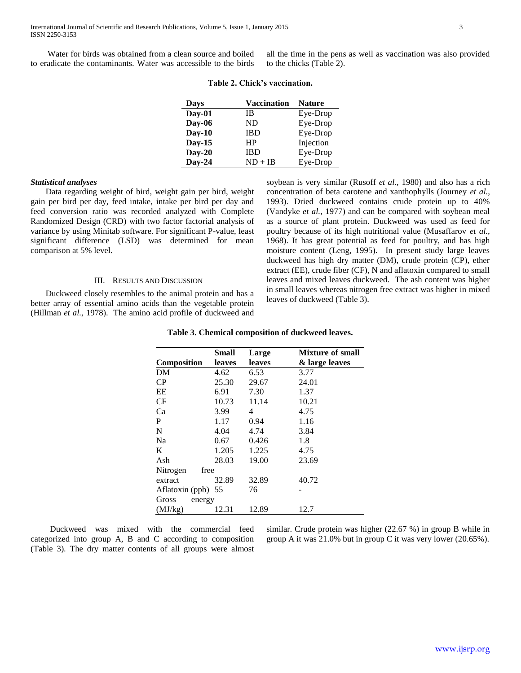all the time in the pens as well as vaccination was also provided to the chicks (Table 2).

| Days     | <b>Vaccination</b> | <b>Nature</b> |
|----------|--------------------|---------------|
| Day-01   | IB                 | Eye-Drop      |
| Day-06   | ND                 | Eye-Drop      |
| $Day-10$ | <b>IBD</b>         | Eye-Drop      |
| $Day-15$ | HP                 | Injection     |
| $Day-20$ | IBD                | Eye-Drop      |
| $Day-24$ | ND + IB            | Eye-Drop      |

## **Table 2. Chick's vaccination.**

## *Statistical analyses*

 Data regarding weight of bird, weight gain per bird, weight gain per bird per day, feed intake, intake per bird per day and feed conversion ratio was recorded analyzed with Complete Randomized Design (CRD) with two factor factorial analysis of variance by using Minitab software. For significant P-value, least significant difference (LSD) was determined for mean comparison at 5% level.

## III. RESULTS AND DISCUSSION

 Duckweed closely resembles to the animal protein and has a better array of essential amino acids than the vegetable protein (Hillman *et al.,* 1978). The amino acid profile of duckweed and soybean is very similar (Rusoff *et al.,* 1980) and also has a rich concentration of beta carotene and xanthophylls (Journey *et al.,* 1993). Dried duckweed contains crude protein up to 40% (Vandyke *et al.,* 1977) and can be compared with soybean meal as a source of plant protein. Duckweed was used as feed for poultry because of its high nutritional value (Musaffarov *et al.,* 1968). It has great potential as feed for poultry, and has high moisture content (Leng, 1995). In present study large leaves duckweed has high dry matter (DM), crude protein (CP), ether extract (EE), crude fiber (CF), N and aflatoxin compared to small leaves and mixed leaves duckweed. The ash content was higher in small leaves whereas nitrogen free extract was higher in mixed leaves of duckweed (Table 3).

|                    | Small  | Large  | Mixture of small |
|--------------------|--------|--------|------------------|
| Composition        | leaves | leaves | & large leaves   |
| DM                 | 4.62   | 6.53   | 3.77             |
| CP                 | 25.30  | 29.67  | 24.01            |
| EE                 | 6.91   | 7.30   | 1.37             |
| CF                 | 10.73  | 11.14  | 10.21            |
| Ca                 | 3.99   | 4      | 4.75             |
| P                  | 1.17   | 0.94   | 1.16             |
| N                  | 4.04   | 4.74   | 3.84             |
| Na                 | 0.67   | 0.426  | 1.8              |
| K                  | 1.205  | 1.225  | 4.75             |
| Ash                | 28.03  | 19.00  | 23.69            |
| Nitrogen<br>free   |        |        |                  |
| extract            | 32.89  | 32.89  | 40.72            |
| Aflatoxin (ppb) 55 |        | 76     |                  |
| Gross<br>energy    |        |        |                  |
| (MJ/kg)            | 12.31  | 12.89  | 12.7             |

 Duckweed was mixed with the commercial feed categorized into group A, B and C according to composition (Table 3). The dry matter contents of all groups were almost similar. Crude protein was higher (22.67 %) in group B while in group A it was 21.0% but in group C it was very lower (20.65%).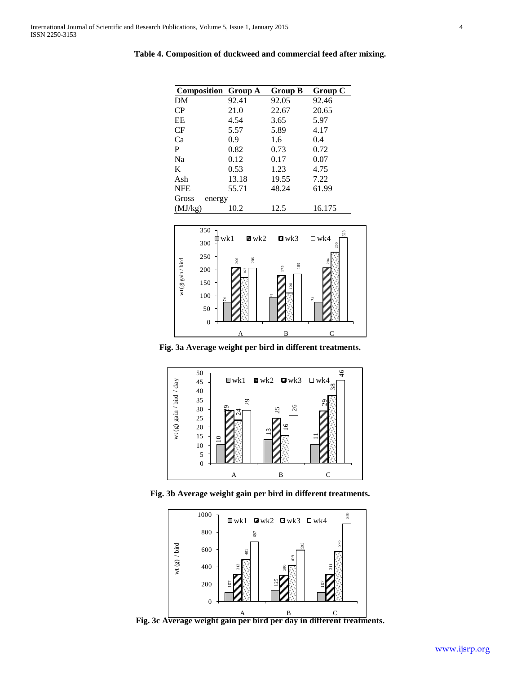| <b>Composition Group A</b> |       | Group B | Group C |
|----------------------------|-------|---------|---------|
| DM                         | 92.41 | 92.05   | 92.46   |
| CP                         | 21.0  | 22.67   | 20.65   |
| EE                         | 4.54  | 3.65    | 5.97    |
| CF                         | 5.57  | 5.89    | 4.17    |
| Ca                         | 0.9   | 1.6     | 0.4     |
| P                          | 0.82  | 0.73    | 0.72    |
| Na                         | 0.12  | 0.17    | 0.07    |
| K                          | 0.53  | 1.23    | 4.75    |
| Ash                        | 13.18 | 19.55   | 7.22    |
| <b>NFE</b>                 | 55.71 | 48.24   | 61.99   |
| Gross<br>energy            |       |         |         |
| (MJ/kg)                    | 10.2  | 12.5    | 16.175  |

**Table 4. Composition of duckweed and commercial feed after mixing.**



**Fig. 3a Average weight per bird in different treatments.**



**Fig. 3b Average weight gain per bird in different treatments.**



**Fig. 3c Average weight gain per bird per day in different treatments.**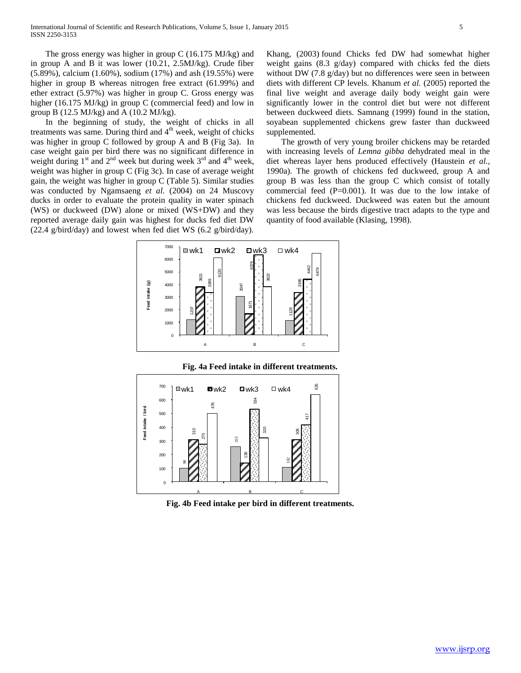The gross energy was higher in group C (16.175 MJ/kg) and in group A and B it was lower (10.21, 2.5MJ/kg). Crude fiber (5.89%), calcium (1.60%), sodium (17%) and ash (19.55%) were higher in group B whereas nitrogen free extract (61.99%) and ether extract (5.97%) was higher in group C. Gross energy was higher (16.175 MJ/kg) in group C (commercial feed) and low in group B (12.5 MJ/kg) and A (10.2 MJ/kg).

 In the beginning of study, the weight of chicks in all treatments was same. During third and  $4<sup>th</sup>$  week, weight of chicks was higher in group C followed by group A and B (Fig 3a). In case weight gain per bird there was no significant difference in weight during  $1<sup>st</sup>$  and  $2<sup>nd</sup>$  week but during week  $3<sup>rd</sup>$  and  $4<sup>th</sup>$  week, weight was higher in group C (Fig 3c). In case of average weight gain, the weight was higher in group C (Table 5). Similar studies was conducted by Ngamsaeng *et al.* (2004) on 24 Muscovy ducks in order to evaluate the protein quality in water spinach (WS) or duckweed (DW) alone or mixed (WS+DW) and they reported average daily gain was highest for ducks fed diet DW (22.4 g/bird/day) and lowest when fed diet WS (6.2 g/bird/day).

Khang, (2003) found Chicks fed DW had somewhat higher weight gains (8.3 g/day) compared with chicks fed the diets without DW (7.8 g/day) but no differences were seen in between diets with different CP levels. Khanum *et al.* (2005) reported the final live weight and average daily body weight gain were significantly lower in the control diet but were not different between duckweed diets. Samnang (1999) found in the station, soyabean supplemented chickens grew faster than duckweed supplemented.

 The growth of very young broiler chickens may be retarded with increasing levels of *Lemna gibba* dehydrated meal in the diet whereas layer hens produced effectively (Haustein *et al.,* 1990a). The growth of chickens fed duckweed, group A and group B was less than the group C which consist of totally commercial feed (P=0.001). It was due to the low intake of chickens fed duckweed. Duckweed was eaten but the amount was less because the birds digestive tract adapts to the type and quantity of food available (Klasing, 1998).



**Fig. 4a Feed intake in different treatments.**



**Fig. 4b Feed intake per bird in different treatments.**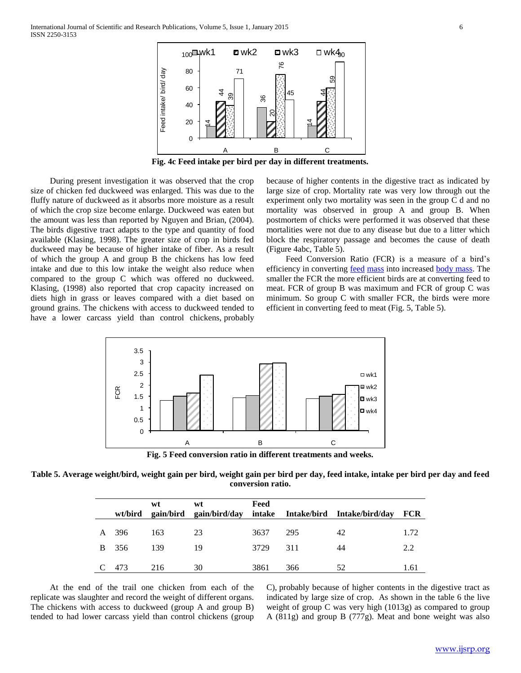

**Fig. 4c Feed intake per bird per day in different treatments.**

 During present investigation it was observed that the crop size of chicken fed duckweed was enlarged. This was due to the fluffy nature of duckweed as it absorbs more moisture as a result of which the crop size become enlarge. Duckweed was eaten but the amount was less than reported by Nguyen and Brian, (2004). The birds digestive tract adapts to the type and quantity of food available (Klasing, 1998). The greater size of crop in birds fed duckweed may be because of higher intake of fiber. As a result of which the group A and group B the chickens has low feed intake and due to this low intake the weight also reduce when compared to the group C which was offered no duckweed. Klasing, (1998) also reported that crop capacity increased on diets high in grass or leaves compared with a diet based on ground grains. The chickens with access to duckweed tended to have a lower carcass yield than control chickens, probably

because of higher contents in the digestive tract as indicated by large size of crop. Mortality rate was very low through out the experiment only two mortality was seen in the group C d and no mortality was observed in group A and group B. When postmortem of chicks were performed it was observed that these mortalities were not due to any disease but due to a litter which block the respiratory passage and becomes the cause of death (Figure 4abc, Table 5).

 Feed Conversion Ratio (FCR) is a measure of a bird's efficiency in converting [feed](http://en.wikipedia.org/wiki/Feed) [mass](http://en.wikipedia.org/wiki/Mass) into increased [body mass.](http://en.wikipedia.org/wiki/Body_mass) The smaller the FCR the more efficient birds are at converting feed to meat. FCR of group B was maximum and FCR of group C was minimum. So group C with smaller FCR, the birds were more efficient in converting feed to meat (Fig. 5, Table 5).



**Fig. 5 Feed conversion ratio in different treatments and weeks.**

**Table 5. Average weight/bird, weight gain per bird, weight gain per bird per day, feed intake, intake per bird per day and feed conversion ratio.**

|  |       | wt  | wt | Feed |     | wt/bird gain/bird gain/bird/day intake Intake/bird Intake/bird/day | <b>FCR</b> |
|--|-------|-----|----|------|-----|--------------------------------------------------------------------|------------|
|  |       |     |    |      |     |                                                                    |            |
|  | A 396 | 163 | 23 | 3637 | 295 | 42                                                                 | 1.72       |
|  | B 356 | 139 | 19 | 3729 | 311 | 44                                                                 | 2.2        |
|  |       |     |    |      |     |                                                                    |            |
|  | 473   | 216 | 30 | 3861 | 366 | 52                                                                 | 1.61       |
|  |       |     |    |      |     |                                                                    |            |

 At the end of the trail one chicken from each of the replicate was slaughter and record the weight of different organs. The chickens with access to duckweed (group A and group B) tended to had lower carcass yield than control chickens (group C), probably because of higher contents in the digestive tract as indicated by large size of crop. As shown in the table 6 the live weight of group C was very high (1013g) as compared to group A (811g) and group B (777g). Meat and bone weight was also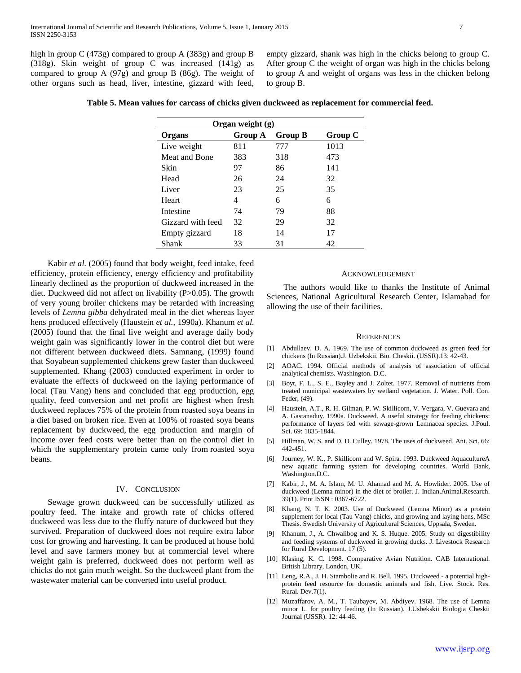high in group C (473g) compared to group A (383g) and group B (318g). Skin weight of group C was increased (141g) as compared to group A (97g) and group B (86g). The weight of other organs such as head, liver, intestine, gizzard with feed, empty gizzard, shank was high in the chicks belong to group C. After group C the weight of organ was high in the chicks belong to group A and weight of organs was less in the chicken belong to group B.

|  | Table 5. Mean values for carcass of chicks given duckweed as replacement for commercial feed. |  |
|--|-----------------------------------------------------------------------------------------------|--|
|  |                                                                                               |  |

| Organ weight (g)  |         |                |         |  |  |
|-------------------|---------|----------------|---------|--|--|
| Organs            | Group A | <b>Group B</b> | Group C |  |  |
| Live weight       | 811     | 777            | 1013    |  |  |
| Meat and Bone     | 383     | 318            | 473     |  |  |
| Skin              | 97      | 86             | 141     |  |  |
| Head              | 26      | 24             | 32      |  |  |
| Liver             | 23      | 25             | 35      |  |  |
| Heart             | 4       | 6              | 6       |  |  |
| Intestine         | 74      | 79             | 88      |  |  |
| Gizzard with feed | 32      | 29             | 32      |  |  |
| Empty gizzard     | 18      | 14             | 17      |  |  |
| Shank             | 33      | 31             | 42      |  |  |

 Kabir *et al.* (2005) found that body weight, feed intake, feed efficiency, protein efficiency, energy efficiency and profitability linearly declined as the proportion of duckweed increased in the diet. Duckweed did not affect on livability (P>0.05). The growth of very young broiler chickens may be retarded with increasing levels of *Lemna gibba* dehydrated meal in the diet whereas layer hens produced effectively (Haustein *et al.,* 1990a). Khanum *et al.* (2005) found that the final live weight and average daily body weight gain was significantly lower in the control diet but were not different between duckweed diets. Samnang, (1999) found that Soyabean supplemented chickens grew faster than duckweed supplemented. Khang (2003) conducted experiment in order to evaluate the effects of duckweed on the laying performance of local (Tau Vang) hens and concluded that egg production, egg quality, feed conversion and net profit are highest when fresh duckweed replaces 75% of the protein from roasted soya beans in a diet based on broken rice. Even at 100% of roasted soya beans replacement by duckweed, the egg production and margin of income over feed costs were better than on the control diet in which the supplementary protein came only from roasted soya beans.

## IV. CONCLUSION

 Sewage grown duckweed can be successfully utilized as poultry feed. The intake and growth rate of chicks offered duckweed was less due to the fluffy nature of duckweed but they survived. Preparation of duckweed does not require extra labor cost for growing and harvesting. It can be produced at house hold level and save farmers money but at commercial level where weight gain is preferred, duckweed does not perform well as chicks do not gain much weight. So the duckweed plant from the wastewater material can be converted into useful product.

#### ACKNOWLEDGEMENT

 The authors would like to thanks the Institute of Animal Sciences, National Agricultural Research Center, Islamabad for allowing the use of their facilities.

#### **REFERENCES**

- [1] Abdullaev, D. A. 1969. The use of common duckweed as green feed for chickens (In Russian).J. Uzbekskii. Bio. Cheskii. (USSR).13: 42-43.
- [2] AOAC. 1994. Official methods of analysis of association of official analytical chemists. Washington. D.C.
- [3] Boyt, F. L., S. E., Bayley and J. Zoltet. 1977. Removal of nutrients from treated municipal wastewaters by wetland vegetation. J. Water. Poll. Con. Feder, (49).
- [4] Haustein, A.T., R. H. Gilman, P. W. Skillicorn, V. Vergara, V. Guevara and A. Gastanaduy. 1990a. Duckweed. A useful strategy for feeding chickens: performance of layers fed with sewage-grown Lemnacea species. J.Poul. Sci. 69: 1835-1844.
- [5] Hillman, W. S. and D. D. Culley. 1978. The uses of duckweed. Ani. Sci. 66: 442-451.
- [6] Journey, W. K., P. Skillicorn and W. Spira. 1993. Duckweed AquacultureA new aquatic farming system for developing countries. World Bank, Washington.D.C.
- [7] Kabir, J., M. A. Islam, M. U. Ahamad and M. A. Howlider. 2005. Use of duckweed (Lemna minor) in the diet of broiler. J. Indian.Animal.Research. 39(1). Print ISSN : 0367-6722.
- [8] Khang, N. T. K. 2003. Use of Duckweed (Lemna Minor) as a protein supplement for local (Tau Vang) chicks, and growing and laying hens, MSc Thesis. Swedish University of Agricultural Sciences, Uppsala, Sweden.
- [9] Khanum, J., A. Chwalibog and K. S. Huque. 2005. Study on digestibility and feeding systems of duckweed in growing ducks. J. Livestock Research for Rural Development. 17 (5).
- [10] Klasing, K. C. 1998. Comparative Avian Nutrition. CAB International. British Library, London, UK.
- [11] Leng, R.A., J. H. Stambolie and R. Bell. 1995. Duckweed a potential highprotein feed resource for domestic animals and fish. Live. Stock. Res. Rural. Dev.7(1).
- [12] Muzaffarov, A. M., T. Taubayev, M. Abdiyev. 1968. The use of Lemna minor L. for poultry feeding (In Russian). J.Usbekskii Biologia Cheskii Journal (USSR). 12: 44-46.